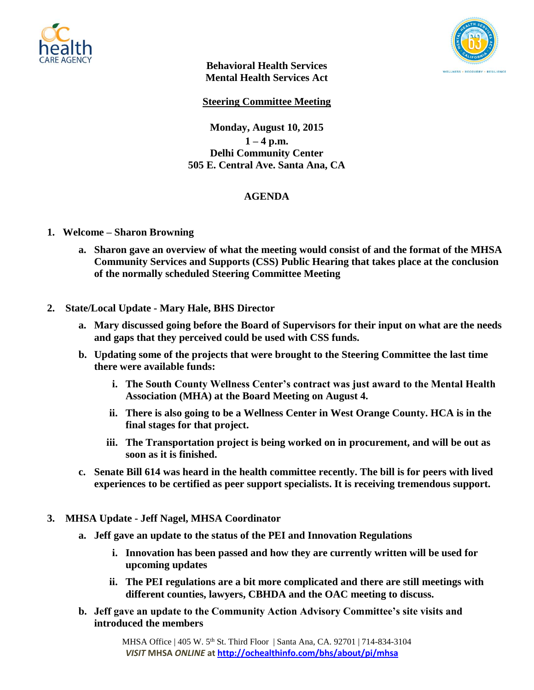



**Behavioral Health Services Mental Health Services Act**

**Steering Committee Meeting**

**Monday, August 10, 2015**  $1 - 4$  p.m. **Delhi Community Center 505 E. Central Ave. Santa Ana, CA**

## **AGENDA**

- **1. Welcome – Sharon Browning**
	- **a. Sharon gave an overview of what the meeting would consist of and the format of the MHSA Community Services and Supports (CSS) Public Hearing that takes place at the conclusion of the normally scheduled Steering Committee Meeting**
- **2. State/Local Update - Mary Hale, BHS Director**
	- **a. Mary discussed going before the Board of Supervisors for their input on what are the needs and gaps that they perceived could be used with CSS funds.**
	- **b. Updating some of the projects that were brought to the Steering Committee the last time there were available funds:**
		- **i. The South County Wellness Center's contract was just award to the Mental Health Association (MHA) at the Board Meeting on August 4.**
		- **ii. There is also going to be a Wellness Center in West Orange County. HCA is in the final stages for that project.**
		- **iii. The Transportation project is being worked on in procurement, and will be out as soon as it is finished.**
	- **c. Senate Bill 614 was heard in the health committee recently. The bill is for peers with lived experiences to be certified as peer support specialists. It is receiving tremendous support.**
- **3. MHSA Update - Jeff Nagel, MHSA Coordinator**
	- **a. Jeff gave an update to the status of the PEI and Innovation Regulations**
		- **i. Innovation has been passed and how they are currently written will be used for upcoming updates**
		- **ii. The PEI regulations are a bit more complicated and there are still meetings with different counties, lawyers, CBHDA and the OAC meeting to discuss.**
	- **b. Jeff gave an update to the Community Action Advisory Committee's site visits and introduced the members**